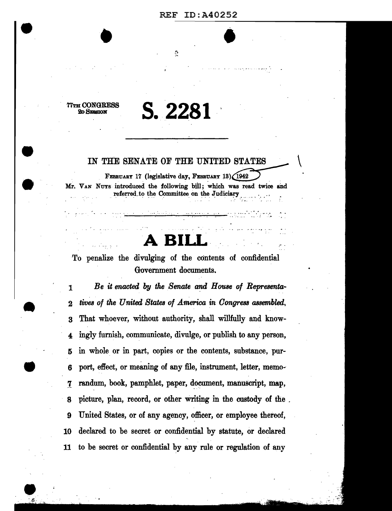# REF ID:A40252  $\overline{\bullet}$

77TH CONGRESS<br>2D SESSION

-

## 2DSESSION **S.2281**

Q

#### IN THE SENATE OF THE UNITED STATES

FEBRUARY 17 (legislative day, FEBRUARY 13) (1942) Mr. VAN NUYS introduced the following bill; which was read twice and referred to the Committee on the Judiciary

<sup>~</sup>. . . ·• - . . . . . . . . .... ---.....-----.,.,.........,.....--- \_\_\_\_\_\_\_\_ ·--·· --·

**A- BILL-.** 

To penalize the divulging of the contents of confidential Government documents.

1 2 3 4 5 6 *1-* 8 9 10 11 Be it enacted by the Senate and House of Representa*tives of the United States of America in Congress assembled,*  That whoever, without authority, shall willfully and knowingly furnish, communicate, divulge, or publish to any person, in whole or in part, copies or the contents, substance, purport, effect, or meaning of any file, instrument, letter, memorandum, book, pamphlet, paper, document, manuscript, map, picture, plan, record, or other Writing in the custody of the . United States, or of any agency, officer, or employee thereof, declared to be secret or confidential by statute, or declared to be secret or confidential by any rule or regulation of any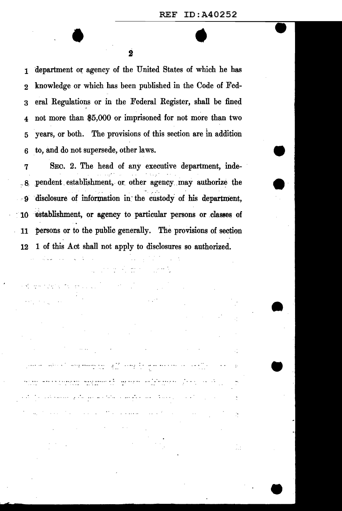department or agency of the United States of which he has  $\mathbf{1}$ knowledge or which has been published in the Code of Fed- $\overline{2}$ eral Regulations or in the Federal Register, shall be fined  $\overline{\mathbf{3}}$ not more than \$5,000 or imprisoned for not more than two  $\overline{\mathbf{4}}$ vears, or both. The provisions of this section are in addition 5 to, and do not supersede, other laws. 6

SEC. 2. The head of any executive department, inde-7 pendent establishment, or other agency may authorize the  $-8$ disclosure of information in the custody of his department.  $\cdot$  9 establishment, or agency to particular persons or classes of 10 persons or to the public generally. The provisions of section 11 1 of this Act shall not apply to disclosures so authorized. 12

المتحدث المناسبة المتحدثة المناسبة المعالمين التي تتحدد المناسبة المعالمين المناسبة المستقبل المناسبة المناسبة<br>المناسبة

المتحدث والمحارب المترامين فالأعمال فمترقم فيناد في منتظر وليس المعترفين والمنافس المعالمين

والمرار المتحدث والمتلق الملاميكي ملاما اللاهد والأرامية والمتملة فللمناقض

والمتعادل والمتاريخ للمتفاعل والمتقطع والمتحدث والمتحدث والمتارك

u d

 $\alpha$  in the particle  $\alpha$  and  $\alpha$ 

eks in kole